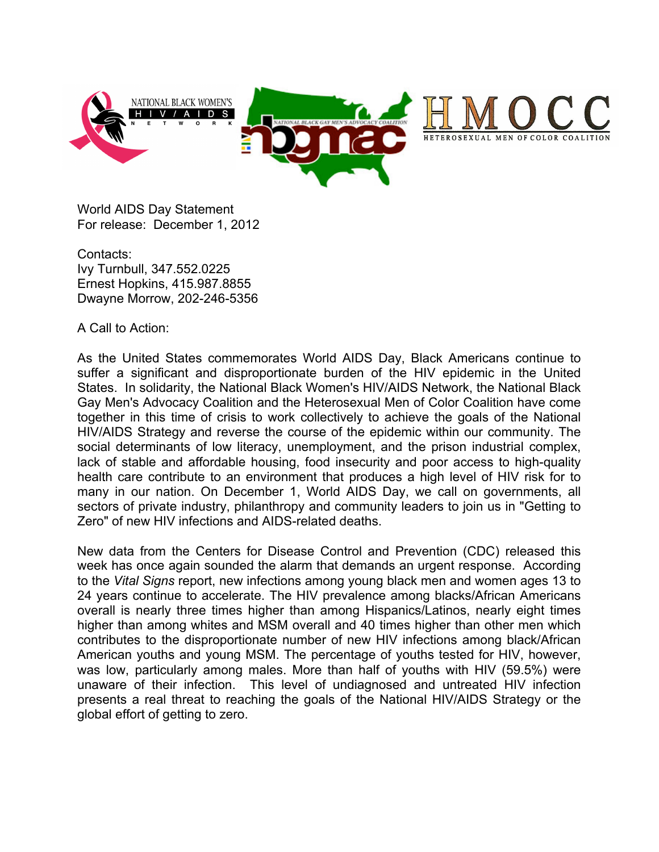

World AIDS Day Statement For release: December 1, 2012

Contacts: Ivy Turnbull, 347.552.0225 Ernest Hopkins, 415.987.8855 Dwayne Morrow, 202-246-5356

A Call to Action:

As the United States commemorates World AIDS Day, Black Americans continue to suffer a significant and disproportionate burden of the HIV epidemic in the United States. In solidarity, the National Black Women's HIV/AIDS Network, the National Black Gay Men's Advocacy Coalition and the Heterosexual Men of Color Coalition have come together in this time of crisis to work collectively to achieve the goals of the National HIV/AIDS Strategy and reverse the course of the epidemic within our community. The social determinants of low literacy, unemployment, and the prison industrial complex, lack of stable and affordable housing, food insecurity and poor access to high-quality health care contribute to an environment that produces a high level of HIV risk for to many in our nation. On December 1, World AIDS Day, we call on governments, all sectors of private industry, philanthropy and community leaders to join us in "Getting to Zero" of new HIV infections and AIDS-related deaths.

New data from the Centers for Disease Control and Prevention (CDC) released this week has once again sounded the alarm that demands an urgent response. According to the *Vital Signs* report, new infections among young black men and women ages 13 to 24 years continue to accelerate. The HIV prevalence among blacks/African Americans overall is nearly three times higher than among Hispanics/Latinos, nearly eight times higher than among whites and MSM overall and 40 times higher than other men which contributes to the disproportionate number of new HIV infections among black/African American youths and young MSM. The percentage of youths tested for HIV, however, was low, particularly among males. More than half of youths with HIV (59.5%) were unaware of their infection. This level of undiagnosed and untreated HIV infection presents a real threat to reaching the goals of the National HIV/AIDS Strategy or the global effort of getting to zero.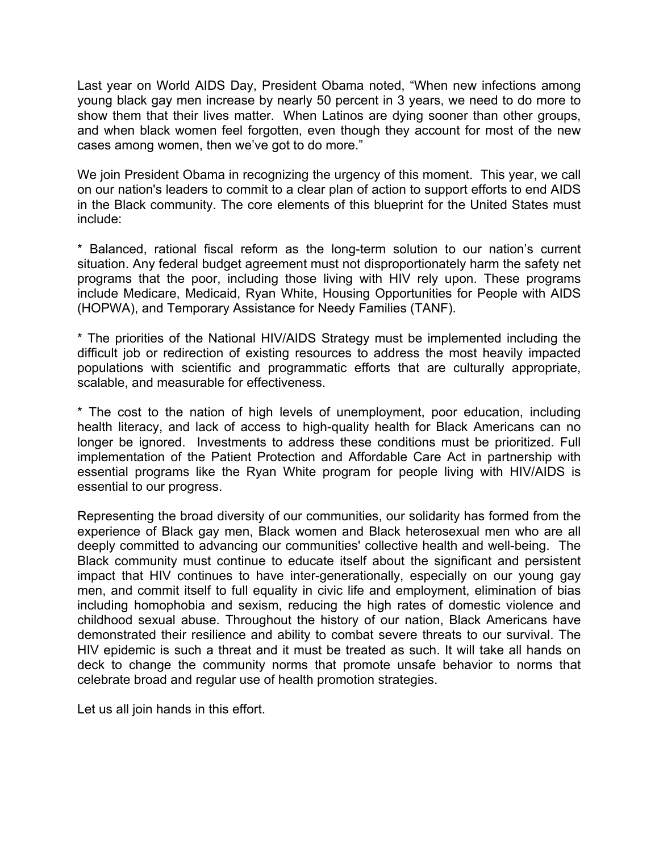Last year on World AIDS Day, President Obama noted, "When new infections among young black gay men increase by nearly 50 percent in 3 years, we need to do more to show them that their lives matter. When Latinos are dying sooner than other groups, and when black women feel forgotten, even though they account for most of the new cases among women, then we've got to do more."

We join President Obama in recognizing the urgency of this moment. This year, we call on our nation's leaders to commit to a clear plan of action to support efforts to end AIDS in the Black community. The core elements of this blueprint for the United States must include:

\* Balanced, rational fiscal reform as the long-term solution to our nation's current situation. Any federal budget agreement must not disproportionately harm the safety net programs that the poor, including those living with HIV rely upon. These programs include Medicare, Medicaid, Ryan White, Housing Opportunities for People with AIDS (HOPWA), and Temporary Assistance for Needy Families (TANF).

\* The priorities of the National HIV/AIDS Strategy must be implemented including the difficult job or redirection of existing resources to address the most heavily impacted populations with scientific and programmatic efforts that are culturally appropriate, scalable, and measurable for effectiveness.

\* The cost to the nation of high levels of unemployment, poor education, including health literacy, and lack of access to high-quality health for Black Americans can no longer be ignored. Investments to address these conditions must be prioritized. Full implementation of the Patient Protection and Affordable Care Act in partnership with essential programs like the Ryan White program for people living with HIV/AIDS is essential to our progress.

Representing the broad diversity of our communities, our solidarity has formed from the experience of Black gay men, Black women and Black heterosexual men who are all deeply committed to advancing our communities' collective health and well-being. The Black community must continue to educate itself about the significant and persistent impact that HIV continues to have inter-generationally, especially on our young gay men, and commit itself to full equality in civic life and employment, elimination of bias including homophobia and sexism, reducing the high rates of domestic violence and childhood sexual abuse. Throughout the history of our nation, Black Americans have demonstrated their resilience and ability to combat severe threats to our survival. The HIV epidemic is such a threat and it must be treated as such. It will take all hands on deck to change the community norms that promote unsafe behavior to norms that celebrate broad and regular use of health promotion strategies.

Let us all join hands in this effort.